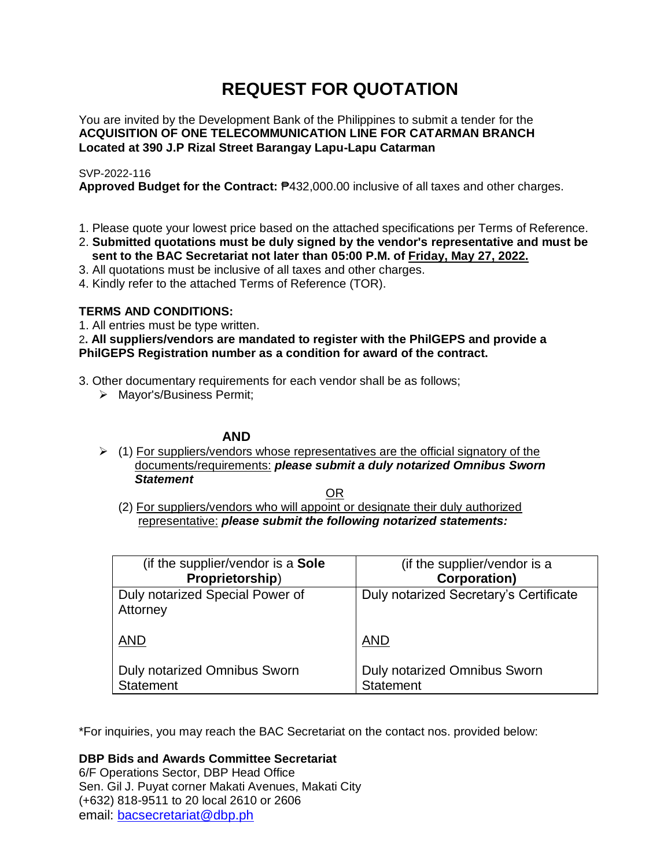# **REQUEST FOR QUOTATION**

You are invited by the Development Bank of the Philippines to submit a tender for the **ACQUISITION OF ONE TELECOMMUNICATION LINE FOR CATARMAN BRANCH Located at 390 J.P Rizal Street Barangay Lapu-Lapu Catarman**

# SVP-2022-116

**Approved Budget for the Contract:** ₱432,000.00 inclusive of all taxes and other charges.

- 1. Please quote your lowest price based on the attached specifications per Terms of Reference.
- 2. **Submitted quotations must be duly signed by the vendor's representative and must be sent to the BAC Secretariat not later than 05:00 P.M. of Friday, May 27, 2022.**
- 3. All quotations must be inclusive of all taxes and other charges.
- 4. Kindly refer to the attached Terms of Reference (TOR).

# **TERMS AND CONDITIONS:**

1. All entries must be type written.

2**. All suppliers/vendors are mandated to register with the PhilGEPS and provide a PhilGEPS Registration number as a condition for award of the contract.**

- 3. Other documentary requirements for each vendor shall be as follows;
	- > Mayor's/Business Permit;

# **AND**

 $\geq$  (1) For suppliers/vendors whose representatives are the official signatory of the documents/requirements: *please submit a duly notarized Omnibus Sworn Statement*

<u>OR Starting and the Starting OR Starting</u>

(2) For suppliers/vendors who will appoint or designate their duly authorized representative: *please submit the following notarized statements:*

| (if the supplier/vendor is a Sole           | (if the supplier/vendor is a           |
|---------------------------------------------|----------------------------------------|
| Proprietorship)                             | <b>Corporation)</b>                    |
| Duly notarized Special Power of<br>Attorney | Duly notarized Secretary's Certificate |
| <b>AND</b>                                  | <b>AND</b>                             |
| Duly notarized Omnibus Sworn                | Duly notarized Omnibus Sworn           |
| <b>Statement</b>                            | <b>Statement</b>                       |

\*For inquiries, you may reach the BAC Secretariat on the contact nos. provided below:

**DBP Bids and Awards Committee Secretariat** 

6/F Operations Sector, DBP Head Office Sen. Gil J. Puyat corner Makati Avenues, Makati City (+632) 818-9511 to 20 local 2610 or 2606 email: [bacsecretariat@dbp.ph](mailto:bacsecretariat@dbp.ph)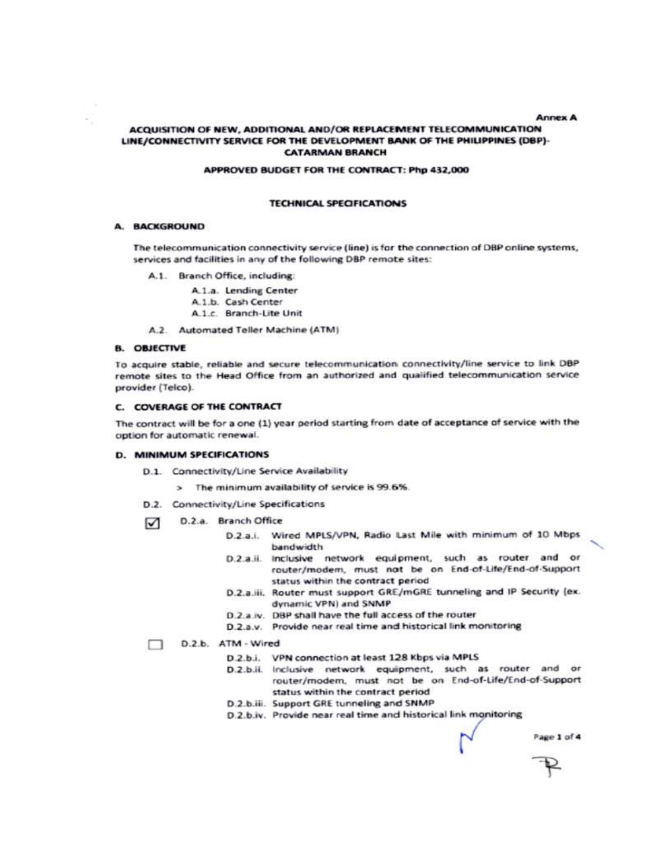#### **Annex A**

### ACQUISITION OF NEW, ADDITIONAL AND/OR REPLACEMENT TELECOMMUNICATION LINE/CONNECTIVITY SERVICE FOR THE DEVELOPMENT BANK OF THE PHILIPPINES (DBP)-**CATARMAN BRANCH**

#### APPROVED BUDGET FOR THE CONTRACT: Php 432,000

### **TECHNICAL SPECIFICATIONS**

## **A. BACKGROUND**

The telecommunication connectivity service (line) is for the connection of DBP online systems, services and facilities in any of the following DBP remote sites:

A.1. Branch Office, including:

A.1.a. Lending Center A.1.b. Cash Center A.1.c. Branch-Lite Unit

A.2. Automated Teller Machine (ATM)

#### **B. OBJECTIVE**

To acquire stable, reliable and secure telecommunication connectivity/line service to link DBP remote sites to the Head Office from an authorized and qualified telecommunication service provider (Telco).

#### C. COVERAGE OF THE CONTRACT

The contract will be for a one (1) year period starting from date of acceptance of service with the option for automatic renewal.

#### **D. MINIMUM SPECIFICATIONS**

D.1. Connectivity/Line Service Availability

> The minimum availability of service is 99.6%.

- D.2. Connectivity/Line Specifications
- D.2.a. Branch Office  $\triangledown$ 
	- D.2.a.i. Wired MPLS/VPN, Radio Last Mile with minimum of 10 Mbps bandwidth
	- D.2.a.ii. Inclusive network equipment, such as router and or router/modem, must not be on End-of-Life/End-of-Support status within the contract period
	- D.2.a.iii. Router must support GRE/mGRE tunneling and IP Security (ex. dynamic VPN) and SNMP
	- D.2.a.iv. DBP shall have the full access of the router
	- D.2.a.v. Provide near real time and historical link monitoring

#### D.2.b. ATM - Wired

- D.2.b.i. VPN connection at least 128 Kbps via MPLS
- D.2.b.ii. Inclusive network equipment, such as router and or router/modem, must not be on End-of-Life/End-of-Support status within the contract period
- D.2.b.iii. Support GRE tunneling and SNMP
- D.2.b.iv. Provide near real time and historical link monitoring

Page 1 of 4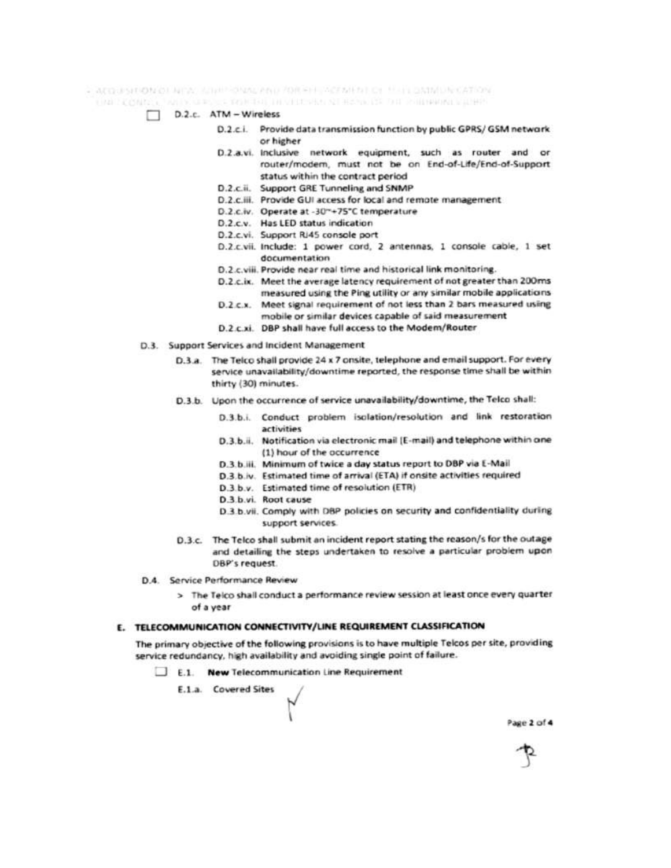- Apparent of a large single-office and for set activities of their panels for a top

FRAUDOMIST FRAUDOLOGICAL DISTRIBUTION CONTRACTOR DE CHERAUMENT COMPT

- D.2.c. ATM Wireless
	- D.2.c.i. Provide data transmission function by public GPRS/GSM network or higher
	- D.2.a.vi. Inclusive network equipment, such as router and or router/modem, must not be on End-of-Life/End-of-Support status within the contract period
	- D.2.c.ii. Support GRE Tunneling and SNMP
	- D.2.c.iii. Provide GUI access for local and remote management
	- D.2.c.iv. Operate at -30"+75"C temperature
	- D.2.c.v. Has LED status indication
	- D.2.c.vi. Support RJ45 console port
	- D.2.c.vii. Include: 1 power cord, 2 antennas, 1 console cable, 1 set documentation
	- D.2.c.viii. Provide near real time and historical link monitoring.
	- D.2.c.ix. Meet the average latency requirement of not greater than 200ms measured using the Ping utility or any similar mobile applications
	- D.2.c.x. Meet signal requirement of not less than 2 bars measured using
	- mobile or similar devices capable of said measurement D.2 c.xi. DBP shall have full access to the Modem/Router
- D.3. Support Services and Incident Management
	- D.3.a. The Telco shall provide 24 x 7 onsite, telephone and email support. For every service unavailability/downtime reported, the response time shall be within thirty (30) minutes.
	- D.3.b. Upon the occurrence of service unavailability/downtime, the Telco shall:
		- D.3.b.i. Conduct problem isolation/resolution and link restoration activities
		- D.3.b.ii. Notification via electronic mail [E-mail) and telephone within one (1) hour of the occurrence
		- D.3.b.iii. Minimum of twice a day status report to DBP via E-Mail
		- D.3.b.iv. Estimated time of arrival (ETA) if onsite activities required
		- D.3.b.v. Estimated time of resolution (ETR)
		- D.3.b.vi. Root cause
		- D.3.b.vii. Comply with DBP policies on security and confidentiality during support services.
	- D.3.c. The Telco shall submit an incident report stating the reason/s for the outage and detailing the steps undertaken to resolve a particular problem upon DBP's request.
- D.4. Service Performance Review
	- > The Telco shall conduct a performance review session at least once every quarter of a year

### E. TELECOMMUNICATION CONNECTIVITY/LINE REQUIREMENT CLASSIFICATION

The primary objective of the following provisions is to have multiple Telcos per site, providing service redundancy, high availability and avoiding single point of failure.

- E.1. New Telecommunication Line Requirement
	- E.1.a. Covered Sites

Page 2 of 4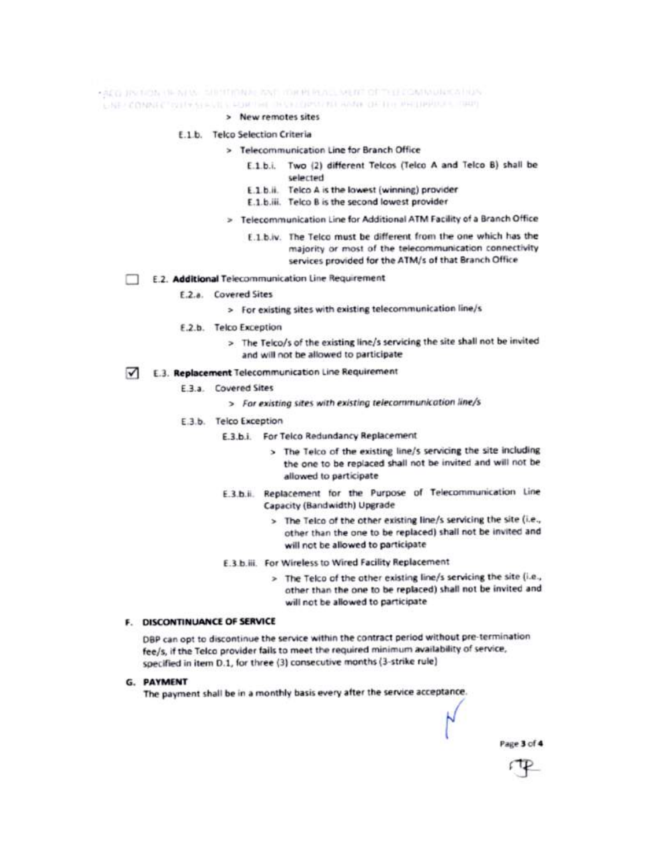FACE JIS NON THEN WE SHIP IT MAKE YOU HE HULL MENT OF THE COMMUNICATION

CAR COMMETED FERRIS FOR THE THIS COPIES AL AMA OF THE PHILIPPINES. THEY

> New remotes sites

## E.1.b. Telco Selection Criteria

- > Telecommunication Line for Branch Office
	- E.1.b.i. Two (2) different Telcos (Telco A and Telco B) shall be selected
	- E.1.b.ii. Telco A is the lowest (winning) provider
	- E.1.b.iii. Telco B is the second lowest provider
- > Telecommunication Line for Additional ATM Facility of a Branch Office
	- E.1.b.iv. The Telco must be different from the one which has the majority or most of the telecommunication connectivity services provided for the ATM/s of that Branch Office
- E.2. Additional Telecommunication Line Requirement
	- E.2.a. Covered Sites
		- > For existing sites with existing telecommunication line/s
	- E.2.b. Telco Exception
		- > The Telco/s of the existing line/s servicing the site shall not be invited and will not be allowed to participate
- E.3. Replacement Telecommunication Line Requirement ⊽
	- E.3.a. Covered Sites
		- > For existing sites with existing telecommunication line/s
	- E.3.b. Telco Exception
		- E.3.b.i. For Telco Redundancy Replacement
			- > The Telco of the existing line/s servicing the site including the one to be replaced shall not be invited and will not be allowed to participate
		- E.3.b.ii. Replacement for the Purpose of Telecommunication Line Capacity (Bandwidth) Upgrade
			- > The Telco of the other existing line/s servicing the site (i.e., other than the one to be replaced) shall not be invited and will not be allowed to participate
		- E.3.b.iii. For Wireless to Wired Facility Replacement
			- > The Telco of the other existing line/s servicing the site (i.e., other than the one to be replaced) shall not be invited and will not be allowed to participate

# F. DISCONTINUANCE OF SERVICE

DBP can opt to discontinue the service within the contract period without pre-termination fee/s, if the Telco provider fails to meet the required minimum availability of service, specified in item D.1, for three (3) consecutive months (3-strike rule)

# **G. PAYMENT**

The payment shall be in a monthly basis every after the service acceptance.

Page 3 of 4